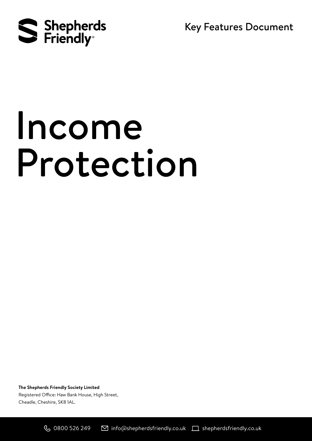

Key Features Document

# Income Protection

**The Shepherds Friendly Society Limited** Registered Office: Haw Bank House, High Street, Cheadle, Cheshire, SK8 1AL.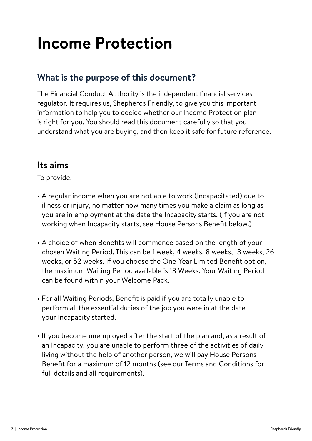## **Income Protection**

#### **What is the purpose of this document?**

The Financial Conduct Authority is the independent financial services regulator. It requires us, Shepherds Friendly, to give you this important information to help you to decide whether our Income Protection plan is right for you. You should read this document carefully so that you understand what you are buying, and then keep it safe for future reference.

#### **Its aims**

To provide:

- A regular income when you are not able to work (Incapacitated) due to illness or injury, no matter how many times you make a claim as long as you are in employment at the date the Incapacity starts. (If you are not working when Incapacity starts, see House Persons Benefit below.)
- A choice of when Benefits will commence based on the length of your chosen Waiting Period. This can be 1 week, 4 weeks, 8 weeks, 13 weeks, 26 weeks, or 52 weeks. If you choose the One-Year Limited Benefit option, the maximum Waiting Period available is 13 Weeks. Your Waiting Period can be found within your Welcome Pack.
- For all Waiting Periods, Benefit is paid if you are totally unable to perform all the essential duties of the job you were in at the date your Incapacity started.
- If you become unemployed after the start of the plan and, as a result of an Incapacity, you are unable to perform three of the activities of daily living without the help of another person, we will pay House Persons Benefit for a maximum of 12 months (see our Terms and Conditions for full details and all requirements).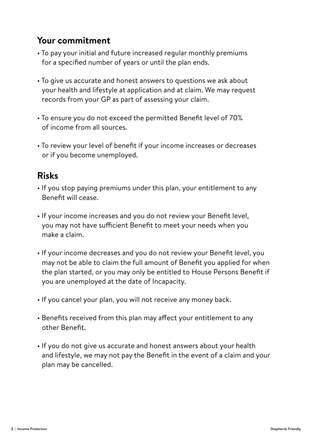#### **Your commitment**

- To pay your initial and future increased regular monthly premiums for a specified number of years or until the plan ends.
- To give us accurate and honest answers to questions we ask about your health and lifestyle at application and at claim. We may request records from your GP as part of assessing your claim.
- To ensure you do not exceed the permitted Benefit level of 70% of income from all sources.
- To review your level of benefit if your income increases or decreases or if you become unemployed.

#### **Risks**

- If you stop paying premiums under this plan, your entitlement to any Benefit will cease.
- If your income increases and you do not review your Benefit level, you may not have sufficient Benefit to meet your needs when you make a claim.
- If your income decreases and you do not review your Benefit level, you may not be able to claim the full amount of Benefit you applied for when the plan started, or you may only be entitled to House Persons Benefit if you are unemployed at the date of Incapacity.
- If you cancel your plan, you will not receive any money back.
- Benefits received from this plan may affect your entitlement to any other Benefit.
- If you do not give us accurate and honest answers about your health and lifestyle, we may not pay the Benefit in the event of a claim and your plan may be cancelled.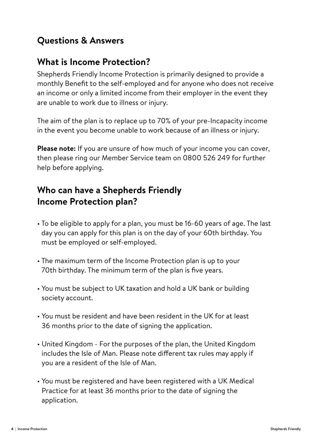### **Questions & Answers**

#### **What is Income Protection?**

Shepherds Friendly Income Protection is primarily designed to provide a monthly Benefit to the self-employed and for anyone who does not receive an income or only a limited income from their employer in the event they are unable to work due to illness or injury.

The aim of the plan is to replace up to 70% of your pre-Incapacity income in the event you become unable to work because of an illness or injury.

**Please note:** If you are unsure of how much of your income you can cover, then please ring our Member Service team on 0800 526 249 for further help before applying.

### **Who can have a Shepherds Friendly Income Protection plan?**

- To be eligible to apply for a plan, you must be 16-60 years of age. The last day you can apply for this plan is on the day of your 60th birthday. You must be employed or self-employed.
- The maximum term of the Income Protection plan is up to your 70th birthday. The minimum term of the plan is five years.
- You must be subject to UK taxation and hold a UK bank or building society account.
- You must be resident and have been resident in the UK for at least 36 months prior to the date of signing the application.
- United Kingdom For the purposes of the plan, the United Kingdom includes the Isle of Man. Please note different tax rules may apply if you are a resident of the Isle of Man.
- You must be registered and have been registered with a UK Medical Practice for at least 36 months prior to the date of signing the application.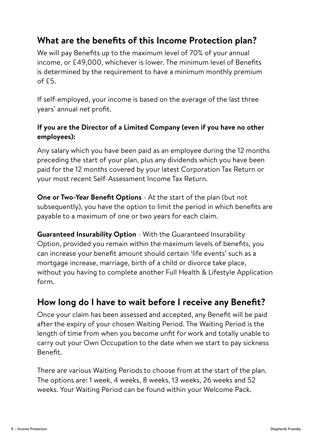#### **What are the benefits of this Income Protection plan?**

We will pay Benefits up to the maximum level of 70% of your annual income, or £49,000, whichever is lower. The minimum level of Benefits is determined by the requirement to have a minimum monthly premium  $of$   $f5$ .

If self-employed, your income is based on the average of the last three years' annual net profit.

#### **If you are the Director of a Limited Company (even if you have no other employees):**

Any salary which you have been paid as an employee during the 12 months preceding the start of your plan, plus any dividends which you have been paid for the 12 months covered by your latest Corporation Tax Return or your most recent Self-Assessment Income Tax Return.

**One or Two-Year Benefit Options** - At the start of the plan (but not subsequently), you have the option to limit the period in which benefits are payable to a maximum of one or two years for each claim.

**Guaranteed Insurability Option** - With the Guaranteed Insurability Option, provided you remain within the maximum levels of benefits, you can increase your benefit amount should certain 'life events' such as a mortgage increase, marriage, birth of a child or divorce take place, without you having to complete another Full Health & Lifestyle Application form.

#### **How long do I have to wait before I receive any Benefit?**

Once your claim has been assessed and accepted, any Benefit will be paid after the expiry of your chosen Waiting Period. The Waiting Period is the length of time from when you become unfit for work and totally unable to carry out your Own Occupation to the date when we start to pay sickness Benefit.

There are various Waiting Periods to choose from at the start of the plan. The options are: 1 week, 4 weeks, 8 weeks, 13 weeks, 26 weeks and 52 weeks. Your Waiting Period can be found within your Welcome Pack.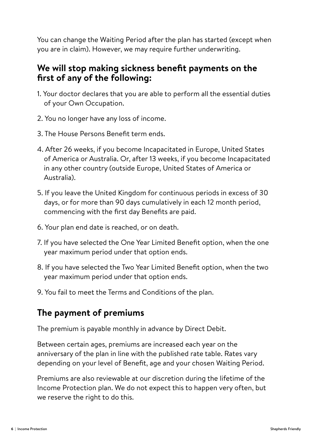You can change the Waiting Period after the plan has started (except when you are in claim). However, we may require further underwriting.

#### **We will stop making sickness benefit payments on the first of any of the following:**

- 1. Your doctor declares that you are able to perform all the essential duties of your Own Occupation.
- 2. You no longer have any loss of income.
- 3. The House Persons Benefit term ends.
- 4. After 26 weeks, if you become Incapacitated in Europe, United States of America or Australia. Or, after 13 weeks, if you become Incapacitated in any other country (outside Europe, United States of America or Australia).
- 5. If you leave the United Kingdom for continuous periods in excess of 30 days, or for more than 90 days cumulatively in each 12 month period, commencing with the first day Benefits are paid.
- 6. Your plan end date is reached, or on death.
- 7. If you have selected the One Year Limited Benefit option, when the one year maximum period under that option ends.
- 8. If you have selected the Two Year Limited Benefit option, when the two year maximum period under that option ends.
- 9. You fail to meet the Terms and Conditions of the plan.

#### **The payment of premiums**

The premium is payable monthly in advance by Direct Debit.

Between certain ages, premiums are increased each year on the anniversary of the plan in line with the published rate table. Rates vary depending on your level of Benefit, age and your chosen Waiting Period.

Premiums are also reviewable at our discretion during the lifetime of the Income Protection plan. We do not expect this to happen very often, but we reserve the right to do this.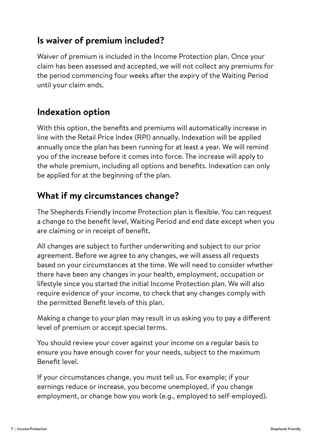#### **Is waiver of premium included?**

Waiver of premium is included in the Income Protection plan. Once your claim has been assessed and accepted, we will not collect any premiums for the period commencing four weeks after the expiry of the Waiting Period until your claim ends.

#### **Indexation option**

With this option, the benefits and premiums will automatically increase in line with the Retail Price Index (RPI) annually. Indexation will be applied annually once the plan has been running for at least a year. We will remind you of the increase before it comes into force. The increase will apply to the whole premium, including all options and benefits. Indexation can only be applied for at the beginning of the plan.

#### **What if my circumstances change?**

The Shepherds Friendly Income Protection plan is flexible. You can request a change to the benefit level, Waiting Period and end date except when you are claiming or in receipt of benefit.

All changes are subject to further underwriting and subject to our prior agreement. Before we agree to any changes, we will assess all requests based on your circumstances at the time. We will need to consider whether there have been any changes in your health, employment, occupation or lifestyle since you started the initial Income Protection plan. We will also require evidence of your income, to check that any changes comply with the permitted Benefit levels of this plan.

Making a change to your plan may result in us asking you to pay a different level of premium or accept special terms.

You should review your cover against your income on a regular basis to ensure you have enough cover for your needs, subject to the maximum Benefit level.

If your circumstances change, you must tell us. For example; if your earnings reduce or increase, you become unemployed, if you change employment, or change how you work (e.g., employed to self-employed).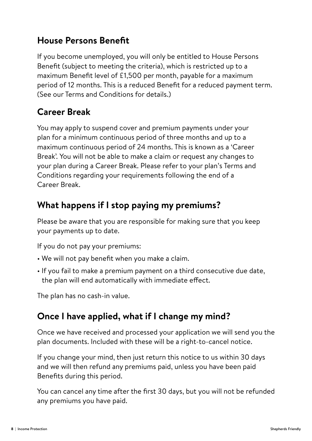#### **House Persons Benefit**

If you become unemployed, you will only be entitled to House Persons Benefit (subject to meeting the criteria), which is restricted up to a maximum Benefit level of £1,500 per month, payable for a maximum period of 12 months. This is a reduced Benefit for a reduced payment term. (See our Terms and Conditions for details.)

### **Career Break**

You may apply to suspend cover and premium payments under your plan for a minimum continuous period of three months and up to a maximum continuous period of 24 months. This is known as a 'Career Break'. You will not be able to make a claim or request any changes to your plan during a Career Break. Please refer to your plan's Terms and Conditions regarding your requirements following the end of a Career Break.

#### **What happens if I stop paying my premiums?**

Please be aware that you are responsible for making sure that you keep your payments up to date.

If you do not pay your premiums:

- We will not pay benefit when you make a claim.
- If you fail to make a premium payment on a third consecutive due date, the plan will end automatically with immediate effect.

The plan has no cash-in value.

#### **Once I have applied, what if I change my mind?**

Once we have received and processed your application we will send you the plan documents. Included with these will be a right-to-cancel notice.

If you change your mind, then just return this notice to us within 30 days and we will then refund any premiums paid, unless you have been paid Benefits during this period.

You can cancel any time after the first 30 days, but you will not be refunded any premiums you have paid.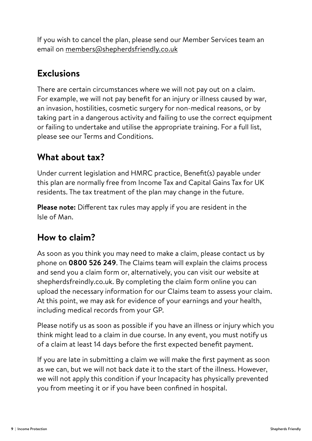If you wish to cancel the plan, please send our Member Services team an email on members@shepherdsfriendly.co.uk

#### **Exclusions**

There are certain circumstances where we will not pay out on a claim. For example, we will not pay benefit for an injury or illness caused by war, an invasion, hostilities, cosmetic surgery for non-medical reasons, or by taking part in a dangerous activity and failing to use the correct equipment or failing to undertake and utilise the appropriate training. For a full list, please see our Terms and Conditions.

#### **What about tax?**

Under current legislation and HMRC practice, Benefit(s) payable under this plan are normally free from Income Tax and Capital Gains Tax for UK residents. The tax treatment of the plan may change in the future.

**Please note:** Different tax rules may apply if you are resident in the Isle of Man.

#### **How to claim?**

As soon as you think you may need to make a claim, please contact us by phone on **0800 526 249**. The Claims team will explain the claims process and send you a claim form or, alternatively, you can visit our website at shepherdsfreindly.co.uk. By completing the claim form online you can upload the necessary information for our Claims team to assess your claim. At this point, we may ask for evidence of your earnings and your health, including medical records from your GP.

Please notify us as soon as possible if you have an illness or injury which you think might lead to a claim in due course. In any event, you must notify us of a claim at least 14 days before the first expected benefit payment.

If you are late in submitting a claim we will make the first payment as soon as we can, but we will not back date it to the start of the illness. However, we will not apply this condition if your Incapacity has physically prevented you from meeting it or if you have been confined in hospital.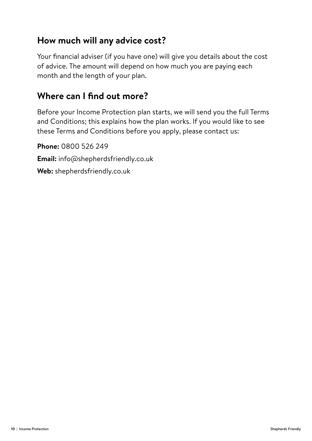#### **How much will any advice cost?**

Your financial adviser (if you have one) will give you details about the cost of advice. The amount will depend on how much you are paying each month and the length of your plan.

#### **Where can I find out more?**

Before your Income Protection plan starts, we will send you the full Terms and Conditions; this explains how the plan works. If you would like to see these Terms and Conditions before you apply, please contact us:

**Phone:** 0800 526 249 **Email:** info@shepherdsfriendly.co.uk **Web:** shepherdsfriendly.co.uk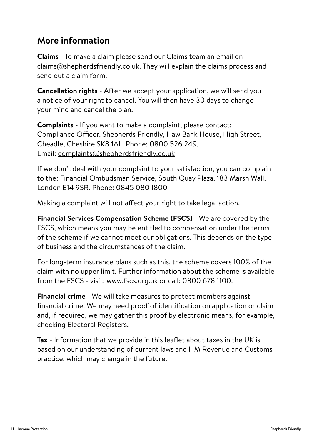#### **More information**

**Claims** - To make a claim please send our Claims team an email on claims@shepherdsfriendly.co.uk. They will explain the claims process and send out a claim form.

**Cancellation rights** - After we accept your application, we will send you a notice of your right to cancel. You will then have 30 days to change your mind and cancel the plan.

**Complaints** - If you want to make a complaint, please contact: Compliance Officer, Shepherds Friendly, Haw Bank House, High Street, Cheadle, Cheshire SK8 1AL. Phone: 0800 526 249. Email: complaints@shepherdsfriendly.co.uk

If we don't deal with your complaint to your satisfaction, you can complain to the: Financial Ombudsman Service, South Quay Plaza, 183 Marsh Wall, London E14 9SR. Phone: 0845 080 1800

Making a complaint will not affect your right to take legal action.

**Financial Services Compensation Scheme (FSCS)** - We are covered by the FSCS, which means you may be entitled to compensation under the terms of the scheme if we cannot meet our obligations. This depends on the type of business and the circumstances of the claim.

For long-term insurance plans such as this, the scheme covers 100% of the claim with no upper limit. Further information about the scheme is available from the FSCS - visit: www.fscs.org.uk or call: 0800 678 1100.

**Financial crime** - We will take measures to protect members against financial crime. We may need proof of identification on application or claim and, if required, we may gather this proof by electronic means, for example, checking Electoral Registers.

**Tax** - Information that we provide in this leaflet about taxes in the UK is based on our understanding of current laws and HM Revenue and Customs practice, which may change in the future.